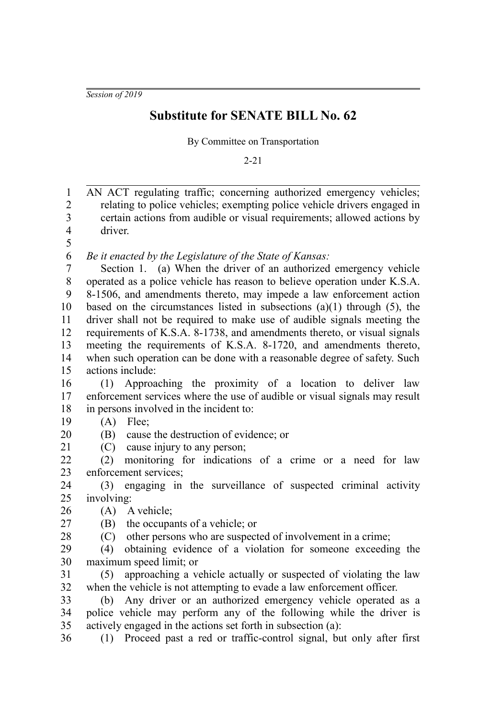*Session of 2019*

## **Substitute for SENATE BILL No. 62**

By Committee on Transportation

2-21

AN ACT regulating traffic; concerning authorized emergency vehicles; relating to police vehicles; exempting police vehicle drivers engaged in certain actions from audible or visual requirements; allowed actions by driver. *Be it enacted by the Legislature of the State of Kansas:* Section 1. (a) When the driver of an authorized emergency vehicle operated as a police vehicle has reason to believe operation under K.S.A. 8-1506, and amendments thereto, may impede a law enforcement action based on the circumstances listed in subsections  $(a)(1)$  through  $(5)$ , the driver shall not be required to make use of audible signals meeting the requirements of K.S.A. 8-1738, and amendments thereto, or visual signals meeting the requirements of K.S.A. 8-1720, and amendments thereto, when such operation can be done with a reasonable degree of safety. Such actions include: (1) Approaching the proximity of a location to deliver law enforcement services where the use of audible or visual signals may result in persons involved in the incident to: (A) Flee; (B) cause the destruction of evidence; or (C) cause injury to any person; (2) monitoring for indications of a crime or a need for law enforcement services; (3) engaging in the surveillance of suspected criminal activity involving: (A) A vehicle; (B) the occupants of a vehicle; or (C) other persons who are suspected of involvement in a crime; (4) obtaining evidence of a violation for someone exceeding the maximum speed limit; or (5) approaching a vehicle actually or suspected of violating the law when the vehicle is not attempting to evade a law enforcement officer. (b) Any driver or an authorized emergency vehicle operated as a police vehicle may perform any of the following while the driver is actively engaged in the actions set forth in subsection (a): (1) Proceed past a red or traffic-control signal, but only after first 1 2 3 4 5 6 7 8 9 10 11 12 13 14 15 16 17 18 19 20 21 22 23 24 25 26 27 28 29 30 31 32 33 34 35 36